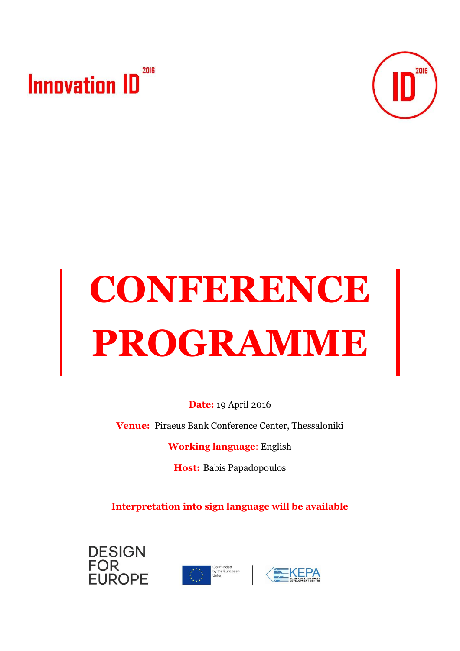



## **CONFERENCE PROGRAMME**

**Date:** 19 April 2016

**Venue:** Piraeus Bank Conference Center, Thessaloniki

**Working language**: English

**Host:** Babis Papadopoulos

**Interpretation into sign language will be available**





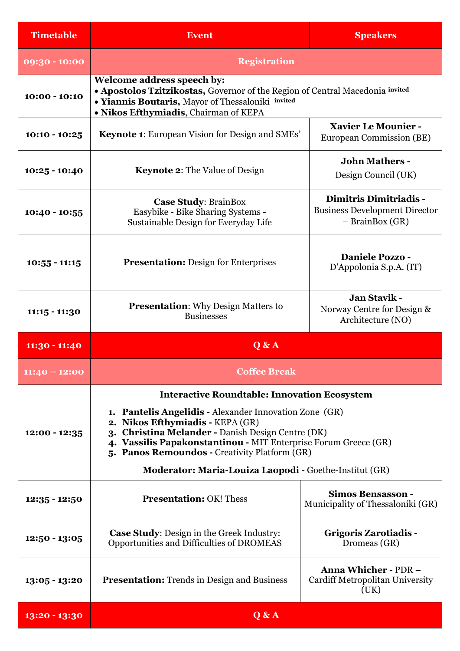| <b>Timetable</b> | <b>Event</b>                                                                                                                                                                                                                                                                                                                                                                                                    | <b>Speakers</b>                                                                   |
|------------------|-----------------------------------------------------------------------------------------------------------------------------------------------------------------------------------------------------------------------------------------------------------------------------------------------------------------------------------------------------------------------------------------------------------------|-----------------------------------------------------------------------------------|
| 09:30 - 10:00    | <b>Registration</b>                                                                                                                                                                                                                                                                                                                                                                                             |                                                                                   |
| $10:00 - 10:10$  | Welcome address speech by:<br>• Apostolos Tzitzikostas, Governor of the Region of Central Macedonia invited<br>• Yiannis Boutaris, Mayor of Thessaloniki invited<br>· Nikos Efthymiadis, Chairman of KEPA                                                                                                                                                                                                       |                                                                                   |
| $10:10 - 10:25$  | <b>Keynote 1:</b> European Vision for Design and SMEs'                                                                                                                                                                                                                                                                                                                                                          | <b>Xavier Le Mounier -</b><br>European Commission (BE)                            |
| $10:25 - 10:40$  | <b>Keynote 2:</b> The Value of Design                                                                                                                                                                                                                                                                                                                                                                           | <b>John Mathers -</b><br>Design Council (UK)                                      |
| $10:40 - 10:55$  | <b>Case Study: BrainBox</b><br>Easybike - Bike Sharing Systems -<br>Sustainable Design for Everyday Life                                                                                                                                                                                                                                                                                                        | Dimitris Dimitriadis -<br><b>Business Development Director</b><br>- BrainBox (GR) |
| $10:55 - 11:15$  | <b>Presentation:</b> Design for Enterprises                                                                                                                                                                                                                                                                                                                                                                     | <b>Daniele Pozzo -</b><br>D'Appolonia S.p.A. (IT)                                 |
| $11:15 - 11:30$  | <b>Presentation:</b> Why Design Matters to<br><b>Businesses</b>                                                                                                                                                                                                                                                                                                                                                 | Jan Stavik -<br>Norway Centre for Design &<br>Architecture (NO)                   |
| 11:30 - 11:40    | Q & A                                                                                                                                                                                                                                                                                                                                                                                                           |                                                                                   |
| $11:40 - 12:00$  | <b>Coffee Break</b>                                                                                                                                                                                                                                                                                                                                                                                             |                                                                                   |
| $12:00 - 12:35$  | <b>Interactive Roundtable: Innovation Ecosystem</b><br><b>1. Pantelis Angelidis - Alexander Innovation Zone (GR)</b><br><b>Nikos Efthymiadis - KEPA (GR)</b><br>2.<br>Christina Melander - Danish Design Centre (DK)<br>3.<br>4. Vassilis Papakonstantinou - MIT Enterprise Forum Greece (GR)<br>5. Panos Remoundos - Creativity Platform (GR)<br><b>Moderator: Maria-Louiza Laopodi - Goethe-Institut (GR)</b> |                                                                                   |
| $12:35 - 12:50$  | <b>Presentation: OK! Thess</b>                                                                                                                                                                                                                                                                                                                                                                                  | <b>Simos Bensasson -</b><br>Municipality of Thessaloniki (GR)                     |
| $12:50 - 13:05$  | <b>Case Study:</b> Design in the Greek Industry:<br>Opportunities and Difficulties of DROMEAS                                                                                                                                                                                                                                                                                                                   | <b>Grigoris Zarotiadis -</b><br>Dromeas (GR)                                      |
| 13:05 - 13:20    | <b>Presentation:</b> Trends in Design and Business                                                                                                                                                                                                                                                                                                                                                              | Anna Whicher - PDR -<br><b>Cardiff Metropolitan University</b><br>(UK)            |
| 13:20 - 13:30    | Q & A                                                                                                                                                                                                                                                                                                                                                                                                           |                                                                                   |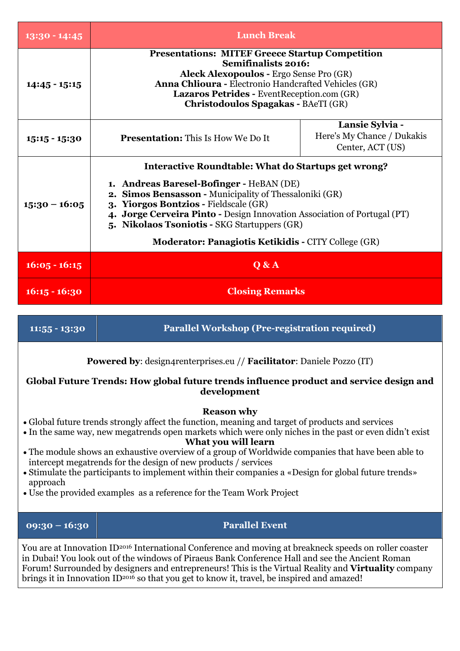| <b>Presentations: MITEF Greece Startup Competition</b>                                                                                                                                                                                                      |                     |  |  |
|-------------------------------------------------------------------------------------------------------------------------------------------------------------------------------------------------------------------------------------------------------------|---------------------|--|--|
| Aleck Alexopoulos - Ergo Sense Pro (GR)<br><b>Anna Chlioura - Electronio Handcrafted Vehicles (GR)</b><br>$14:45 - 15:15$<br>Lazaros Petrides - Event Reception.com (GR)<br>Christodoulos Spagakas - BAeTI (GR)                                             | Semifinalists 2016: |  |  |
| Lansie Sylvia -<br>Here's My Chance / Dukakis<br><b>Presentation:</b> This Is How We Do It<br>$15:15 - 15:30$<br>Center, ACT (US)                                                                                                                           |                     |  |  |
| Interactive Roundtable: What do Startups get wrong?<br>1. Andreas Baresel-Bofinger - HeBAN (DE)                                                                                                                                                             |                     |  |  |
| Simos Bensasson - Municipality of Thessaloniki (GR)<br>2.<br><b>Yiorgos Bontzios - Fieldscale (GR)</b><br>$15:30 - 16:05$<br>3.<br>4. Jorge Cerveira Pinto - Design Innovation Association of Portugal (PT)<br>5. Nikolaos Tsoniotis - SKG Startuppers (GR) |                     |  |  |
| Moderator: Panagiotis Ketikidis - CITY College (GR)                                                                                                                                                                                                         |                     |  |  |
| Q & A<br>$16:05 - 16:15$                                                                                                                                                                                                                                    |                     |  |  |
| <b>Closing Remarks</b><br>$16:15 - 16:30$                                                                                                                                                                                                                   |                     |  |  |

| $11:55 - 13:30$                                                                                                                                                      | <b>Parallel Workshop (Pre-registration required)</b> |  |
|----------------------------------------------------------------------------------------------------------------------------------------------------------------------|------------------------------------------------------|--|
| <b>Powered by:</b> design4renterprises.eu // <b>Facilitator:</b> Daniele Pozzo (IT)                                                                                  |                                                      |  |
| Global Future Trends: How global future trends influence product and service design and<br>development                                                               |                                                      |  |
| <b>Reason why</b>                                                                                                                                                    |                                                      |  |
| • Global future trends strongly affect the function, meaning and target of products and services                                                                     |                                                      |  |
| • In the same way, new megatients open markets which were only niches in the past or even didn't exist<br>What you will learn                                        |                                                      |  |
| • The module shows an exhaustive overview of a group of Worldwide companies that have been able to<br>intercept megatrends for the design of new products / services |                                                      |  |
| • Stimulate the participants to implement within their companies a «Design for global future trends»<br>approach                                                     |                                                      |  |

Use the provided examples as a reference for the Team Work Project

## **09:30 – 16:30 Parallel Event**

You are at Innovation ID<sup>2016</sup> International Conference and moving at breakneck speeds on roller coaster in Dubai! You look out of the windows of Piraeus Bank Conference Hall and see the Ancient Roman Forum! Surrounded by designers and entrepreneurs! This is the Virtual Reality and **Virtuality** company brings it in Innovation ID<sup>2016</sup> so that you get to know it, travel, be inspired and amazed!